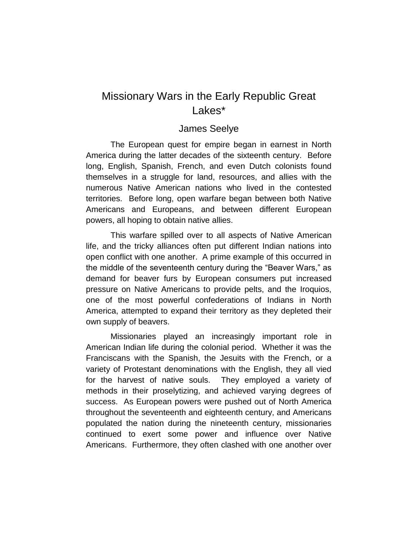# Missionary Wars in the Early Republic Great Lakes\*

## James Seelye

The European quest for empire began in earnest in North America during the latter decades of the sixteenth century. Before long, English, Spanish, French, and even Dutch colonists found themselves in a struggle for land, resources, and allies with the numerous Native American nations who lived in the contested territories. Before long, open warfare began between both Native Americans and Europeans, and between different European powers, all hoping to obtain native allies.

This warfare spilled over to all aspects of Native American life, and the tricky alliances often put different Indian nations into open conflict with one another. A prime example of this occurred in the middle of the seventeenth century during the "Beaver Wars," as demand for beaver furs by European consumers put increased pressure on Native Americans to provide pelts, and the Iroquios, one of the most powerful confederations of Indians in North America, attempted to expand their territory as they depleted their own supply of beavers.

Missionaries played an increasingly important role in American Indian life during the colonial period. Whether it was the Franciscans with the Spanish, the Jesuits with the French, or a variety of Protestant denominations with the English, they all vied for the harvest of native souls. They employed a variety of methods in their proselytizing, and achieved varying degrees of success. As European powers were pushed out of North America throughout the seventeenth and eighteenth century, and Americans populated the nation during the nineteenth century, missionaries continued to exert some power and influence over Native Americans. Furthermore, they often clashed with one another over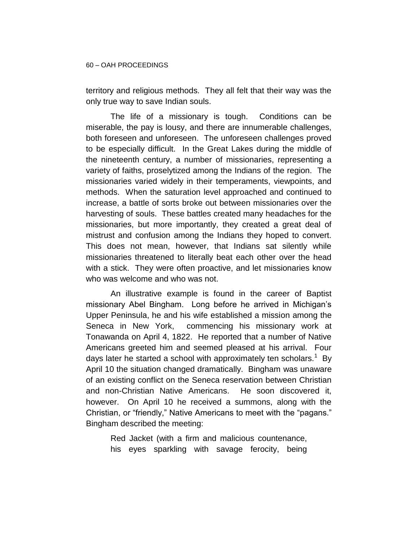territory and religious methods. They all felt that their way was the only true way to save Indian souls.

The life of a missionary is tough. Conditions can be miserable, the pay is lousy, and there are innumerable challenges, both foreseen and unforeseen. The unforeseen challenges proved to be especially difficult. In the Great Lakes during the middle of the nineteenth century, a number of missionaries, representing a variety of faiths, proselytized among the Indians of the region. The missionaries varied widely in their temperaments, viewpoints, and methods. When the saturation level approached and continued to increase, a battle of sorts broke out between missionaries over the harvesting of souls. These battles created many headaches for the missionaries, but more importantly, they created a great deal of mistrust and confusion among the Indians they hoped to convert. This does not mean, however, that Indians sat silently while missionaries threatened to literally beat each other over the head with a stick. They were often proactive, and let missionaries know who was welcome and who was not.

An illustrative example is found in the career of Baptist missionary Abel Bingham. Long before he arrived in Michigan's Upper Peninsula, he and his wife established a mission among the Seneca in New York, commencing his missionary work at Tonawanda on April 4, 1822. He reported that a number of Native Americans greeted him and seemed pleased at his arrival. Four days later he started a school with approximately ten scholars.<sup>1</sup> By April 10 the situation changed dramatically. Bingham was unaware of an existing conflict on the Seneca reservation between Christian and non-Christian Native Americans. He soon discovered it, however. On April 10 he received a summons, along with the Christian, or "friendly," Native Americans to meet with the "pagans." Bingham described the meeting:

Red Jacket (with a firm and malicious countenance, his eyes sparkling with savage ferocity, being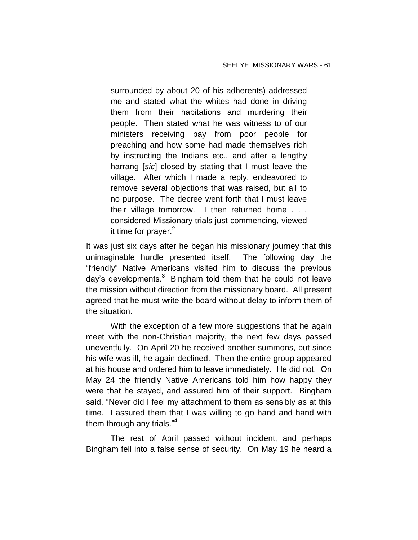surrounded by about 20 of his adherents) addressed me and stated what the whites had done in driving them from their habitations and murdering their people. Then stated what he was witness to of our ministers receiving pay from poor people for preaching and how some had made themselves rich by instructing the Indians etc., and after a lengthy harrang [*sic*] closed by stating that I must leave the village. After which I made a reply, endeavored to remove several objections that was raised, but all to no purpose. The decree went forth that I must leave their village tomorrow. I then returned home . . . considered Missionary trials just commencing, viewed it time for prayer. $<sup>2</sup>$ </sup>

It was just six days after he began his missionary journey that this unimaginable hurdle presented itself. The following day the "friendly" Native Americans visited him to discuss the previous day's developments.<sup>3</sup> Bingham told them that he could not leave the mission without direction from the missionary board. All present agreed that he must write the board without delay to inform them of the situation.

With the exception of a few more suggestions that he again meet with the non-Christian majority, the next few days passed uneventfully. On April 20 he received another summons, but since his wife was ill, he again declined. Then the entire group appeared at his house and ordered him to leave immediately. He did not. On May 24 the friendly Native Americans told him how happy they were that he stayed, and assured him of their support. Bingham said, "Never did I feel my attachment to them as sensibly as at this time. I assured them that I was willing to go hand and hand with them through any trials."<sup>4</sup>

The rest of April passed without incident, and perhaps Bingham fell into a false sense of security. On May 19 he heard a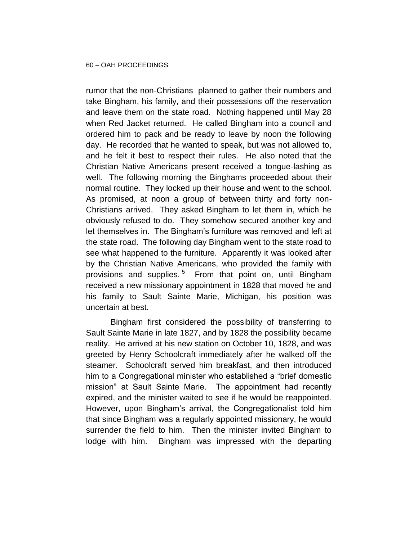rumor that the non-Christians planned to gather their numbers and take Bingham, his family, and their possessions off the reservation and leave them on the state road. Nothing happened until May 28 when Red Jacket returned. He called Bingham into a council and ordered him to pack and be ready to leave by noon the following day. He recorded that he wanted to speak, but was not allowed to, and he felt it best to respect their rules. He also noted that the Christian Native Americans present received a tongue-lashing as well. The following morning the Binghams proceeded about their normal routine. They locked up their house and went to the school. As promised, at noon a group of between thirty and forty non-Christians arrived. They asked Bingham to let them in, which he obviously refused to do. They somehow secured another key and let themselves in. The Bingham's furniture was removed and left at the state road. The following day Bingham went to the state road to see what happened to the furniture. Apparently it was looked after by the Christian Native Americans, who provided the family with provisions and supplies.<sup>5</sup> From that point on, until Bingham received a new missionary appointment in 1828 that moved he and his family to Sault Sainte Marie, Michigan, his position was uncertain at best.

Bingham first considered the possibility of transferring to Sault Sainte Marie in late 1827, and by 1828 the possibility became reality. He arrived at his new station on October 10, 1828, and was greeted by Henry Schoolcraft immediately after he walked off the steamer. Schoolcraft served him breakfast, and then introduced him to a Congregational minister who established a "brief domestic mission" at Sault Sainte Marie. The appointment had recently expired, and the minister waited to see if he would be reappointed. However, upon Bingham's arrival, the Congregationalist told him that since Bingham was a regularly appointed missionary, he would surrender the field to him. Then the minister invited Bingham to lodge with him. Bingham was impressed with the departing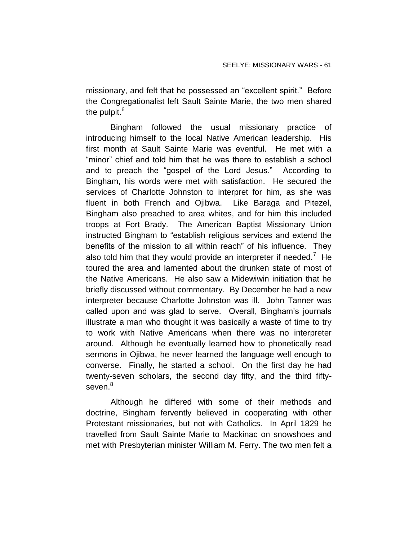missionary, and felt that he possessed an "excellent spirit." Before the Congregationalist left Sault Sainte Marie, the two men shared the pulpit.<sup>6</sup>

Bingham followed the usual missionary practice of introducing himself to the local Native American leadership. His first month at Sault Sainte Marie was eventful. He met with a "minor" chief and told him that he was there to establish a school and to preach the "gospel of the Lord Jesus." According to Bingham, his words were met with satisfaction. He secured the services of Charlotte Johnston to interpret for him, as she was fluent in both French and Ojibwa. Like Baraga and Pitezel, Bingham also preached to area whites, and for him this included troops at Fort Brady. The American Baptist Missionary Union instructed Bingham to "establish religious services and extend the benefits of the mission to all within reach" of his influence. They also told him that they would provide an interpreter if needed.<sup>7</sup> He toured the area and lamented about the drunken state of most of the Native Americans. He also saw a Midewiwin initiation that he briefly discussed without commentary. By December he had a new interpreter because Charlotte Johnston was ill. John Tanner was called upon and was glad to serve. Overall, Bingham's journals illustrate a man who thought it was basically a waste of time to try to work with Native Americans when there was no interpreter around. Although he eventually learned how to phonetically read sermons in Ojibwa, he never learned the language well enough to converse. Finally, he started a school. On the first day he had twenty-seven scholars, the second day fifty, and the third fiftyseven.<sup>8</sup>

Although he differed with some of their methods and doctrine, Bingham fervently believed in cooperating with other Protestant missionaries, but not with Catholics. In April 1829 he travelled from Sault Sainte Marie to Mackinac on snowshoes and met with Presbyterian minister William M. Ferry. The two men felt a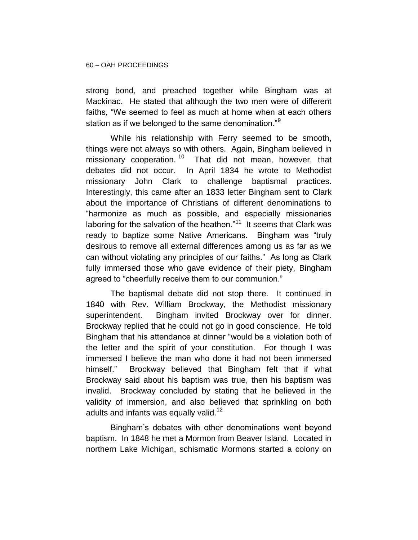#### 60 – OAH PROCEEDINGS

strong bond, and preached together while Bingham was at Mackinac. He stated that although the two men were of different faiths, "We seemed to feel as much at home when at each others station as if we belonged to the same denomination."<sup>9</sup>

While his relationship with Ferry seemed to be smooth, things were not always so with others. Again, Bingham believed in missionary cooperation.<sup>10</sup> That did not mean, however, that debates did not occur. In April 1834 he wrote to Methodist missionary John Clark to challenge baptismal practices. Interestingly, this came after an 1833 letter Bingham sent to Clark about the importance of Christians of different denominations to "harmonize as much as possible, and especially missionaries laboring for the salvation of the heathen." $11$  It seems that Clark was ready to baptize some Native Americans. Bingham was "truly desirous to remove all external differences among us as far as we can without violating any principles of our faiths." As long as Clark fully immersed those who gave evidence of their piety, Bingham agreed to "cheerfully receive them to our communion."

The baptismal debate did not stop there. It continued in 1840 with Rev. William Brockway, the Methodist missionary superintendent. Bingham invited Brockway over for dinner. Brockway replied that he could not go in good conscience. He told Bingham that his attendance at dinner "would be a violation both of the letter and the spirit of your constitution. For though I was immersed I believe the man who done it had not been immersed himself." Brockway believed that Bingham felt that if what Brockway said about his baptism was true, then his baptism was invalid. Brockway concluded by stating that he believed in the validity of immersion, and also believed that sprinkling on both adults and infants was equally valid.<sup>12</sup>

Bingham's debates with other denominations went beyond baptism. In 1848 he met a Mormon from Beaver Island. Located in northern Lake Michigan, schismatic Mormons started a colony on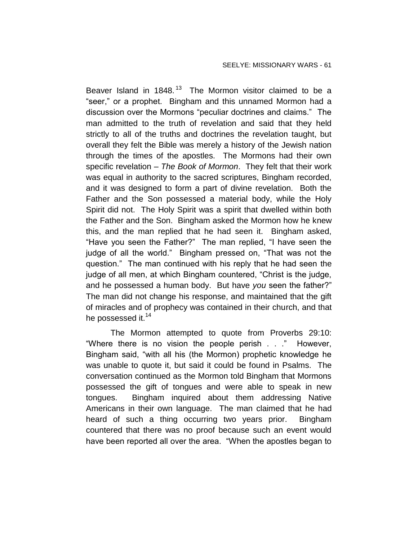Beaver Island in 1848.<sup>13</sup> The Mormon visitor claimed to be a "seer," or a prophet. Bingham and this unnamed Mormon had a discussion over the Mormons "peculiar doctrines and claims." The man admitted to the truth of revelation and said that they held strictly to all of the truths and doctrines the revelation taught, but overall they felt the Bible was merely a history of the Jewish nation through the times of the apostles. The Mormons had their own specific revelation – *The Book of Mormon*. They felt that their work was equal in authority to the sacred scriptures, Bingham recorded, and it was designed to form a part of divine revelation. Both the Father and the Son possessed a material body, while the Holy Spirit did not. The Holy Spirit was a spirit that dwelled within both the Father and the Son. Bingham asked the Mormon how he knew this, and the man replied that he had seen it. Bingham asked, "Have you seen the Father?" The man replied, "I have seen the judge of all the world." Bingham pressed on, "That was not the question." The man continued with his reply that he had seen the judge of all men, at which Bingham countered, "Christ is the judge, and he possessed a human body. But have *you* seen the father?" The man did not change his response, and maintained that the gift of miracles and of prophecy was contained in their church, and that he possessed it.<sup>14</sup>

The Mormon attempted to quote from Proverbs 29:10: "Where there is no vision the people perish . . ." However, Bingham said, "with all his (the Mormon) prophetic knowledge he was unable to quote it, but said it could be found in Psalms. The conversation continued as the Mormon told Bingham that Mormons possessed the gift of tongues and were able to speak in new tongues. Bingham inquired about them addressing Native Americans in their own language. The man claimed that he had heard of such a thing occurring two years prior. Bingham countered that there was no proof because such an event would have been reported all over the area. "When the apostles began to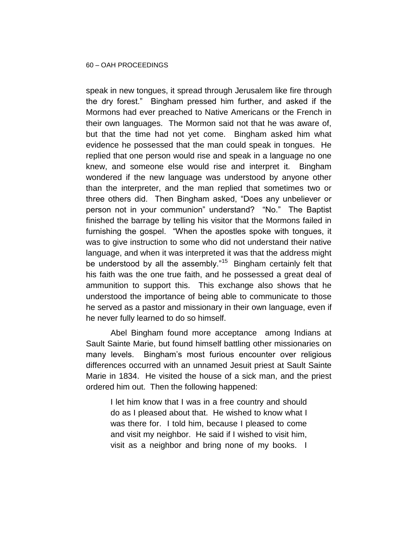speak in new tongues, it spread through Jerusalem like fire through the dry forest." Bingham pressed him further, and asked if the Mormons had ever preached to Native Americans or the French in their own languages. The Mormon said not that he was aware of, but that the time had not yet come. Bingham asked him what evidence he possessed that the man could speak in tongues. He replied that one person would rise and speak in a language no one knew, and someone else would rise and interpret it. Bingham wondered if the new language was understood by anyone other than the interpreter, and the man replied that sometimes two or three others did. Then Bingham asked, "Does any unbeliever or person not in your communion" understand? "No." The Baptist finished the barrage by telling his visitor that the Mormons failed in furnishing the gospel. "When the apostles spoke with tongues, it was to give instruction to some who did not understand their native language, and when it was interpreted it was that the address might be understood by all the assembly."<sup>15</sup> Bingham certainly felt that his faith was the one true faith, and he possessed a great deal of ammunition to support this. This exchange also shows that he understood the importance of being able to communicate to those he served as a pastor and missionary in their own language, even if he never fully learned to do so himself.

Abel Bingham found more acceptance among Indians at Sault Sainte Marie, but found himself battling other missionaries on many levels. Bingham's most furious encounter over religious differences occurred with an unnamed Jesuit priest at Sault Sainte Marie in 1834. He visited the house of a sick man, and the priest ordered him out. Then the following happened:

I let him know that I was in a free country and should do as I pleased about that. He wished to know what I was there for. I told him, because I pleased to come and visit my neighbor. He said if I wished to visit him, visit as a neighbor and bring none of my books. I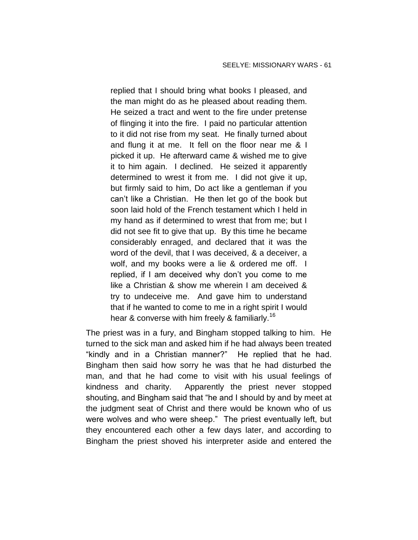replied that I should bring what books I pleased, and the man might do as he pleased about reading them. He seized a tract and went to the fire under pretense of flinging it into the fire. I paid no particular attention to it did not rise from my seat. He finally turned about and flung it at me. It fell on the floor near me & I picked it up. He afterward came & wished me to give it to him again. I declined. He seized it apparently determined to wrest it from me. I did not give it up, but firmly said to him, Do act like a gentleman if you can't like a Christian. He then let go of the book but soon laid hold of the French testament which I held in my hand as if determined to wrest that from me; but I did not see fit to give that up. By this time he became considerably enraged, and declared that it was the word of the devil, that I was deceived, & a deceiver, a wolf, and my books were a lie & ordered me off. I replied, if I am deceived why don't you come to me like a Christian & show me wherein I am deceived & try to undeceive me. And gave him to understand that if he wanted to come to me in a right spirit I would hear & converse with him freely & familiarly.<sup>16</sup>

The priest was in a fury, and Bingham stopped talking to him. He turned to the sick man and asked him if he had always been treated "kindly and in a Christian manner?" He replied that he had. Bingham then said how sorry he was that he had disturbed the man, and that he had come to visit with his usual feelings of kindness and charity. Apparently the priest never stopped shouting, and Bingham said that "he and I should by and by meet at the judgment seat of Christ and there would be known who of us were wolves and who were sheep." The priest eventually left, but they encountered each other a few days later, and according to Bingham the priest shoved his interpreter aside and entered the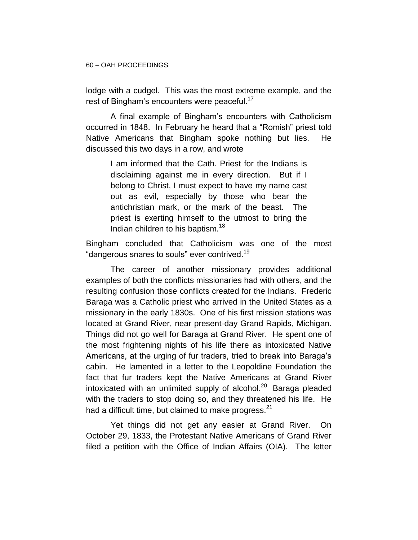lodge with a cudgel. This was the most extreme example, and the rest of Bingham's encounters were peaceful.<sup>17</sup>

A final example of Bingham's encounters with Catholicism occurred in 1848. In February he heard that a "Romish" priest told Native Americans that Bingham spoke nothing but lies. He discussed this two days in a row, and wrote

I am informed that the Cath. Priest for the Indians is disclaiming against me in every direction. But if I belong to Christ, I must expect to have my name cast out as evil, especially by those who bear the antichristian mark, or the mark of the beast. The priest is exerting himself to the utmost to bring the Indian children to his baptism.<sup>18</sup>

Bingham concluded that Catholicism was one of the most "dangerous snares to souls" ever contrived.<sup>19</sup>

The career of another missionary provides additional examples of both the conflicts missionaries had with others, and the resulting confusion those conflicts created for the Indians. Frederic Baraga was a Catholic priest who arrived in the United States as a missionary in the early 1830s. One of his first mission stations was located at Grand River, near present-day Grand Rapids, Michigan. Things did not go well for Baraga at Grand River. He spent one of the most frightening nights of his life there as intoxicated Native Americans, at the urging of fur traders, tried to break into Baraga's cabin. He lamented in a letter to the Leopoldine Foundation the fact that fur traders kept the Native Americans at Grand River intoxicated with an unlimited supply of alcohol.<sup>20</sup> Baraga pleaded with the traders to stop doing so, and they threatened his life. He had a difficult time, but claimed to make progress.<sup>21</sup>

Yet things did not get any easier at Grand River. On October 29, 1833, the Protestant Native Americans of Grand River filed a petition with the Office of Indian Affairs (OIA). The letter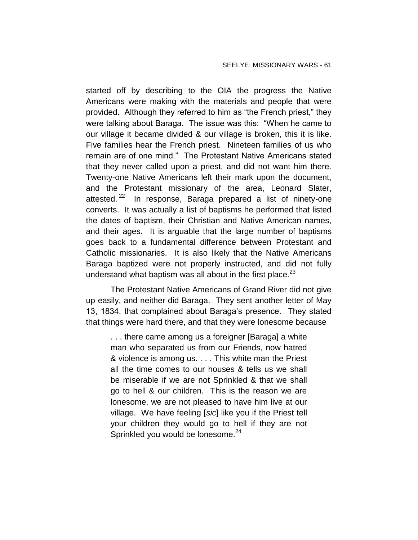started off by describing to the OIA the progress the Native Americans were making with the materials and people that were provided. Although they referred to him as "the French priest," they were talking about Baraga. The issue was this: "When he came to our village it became divided & our village is broken, this it is like. Five families hear the French priest. Nineteen families of us who remain are of one mind." The Protestant Native Americans stated that they never called upon a priest, and did not want him there. Twenty-one Native Americans left their mark upon the document, and the Protestant missionary of the area, Leonard Slater, attested.<sup>22</sup> In response, Baraga prepared a list of ninety-one converts. It was actually a list of baptisms he performed that listed the dates of baptism, their Christian and Native American names, and their ages. It is arguable that the large number of baptisms goes back to a fundamental difference between Protestant and Catholic missionaries. It is also likely that the Native Americans Baraga baptized were not properly instructed, and did not fully understand what baptism was all about in the first place. $^{23}$ 

The Protestant Native Americans of Grand River did not give up easily, and neither did Baraga. They sent another letter of May 13, 1834, that complained about Baraga's presence. They stated that things were hard there, and that they were lonesome because

. . . there came among us a foreigner [Baraga] a white man who separated us from our Friends, now hatred & violence is among us. . . . This white man the Priest all the time comes to our houses & tells us we shall be miserable if we are not Sprinkled & that we shall go to hell & our children. This is the reason we are lonesome, we are not pleased to have him live at our village. We have feeling [*sic*] like you if the Priest tell your children they would go to hell if they are not Sprinkled you would be lonesome.<sup>24</sup>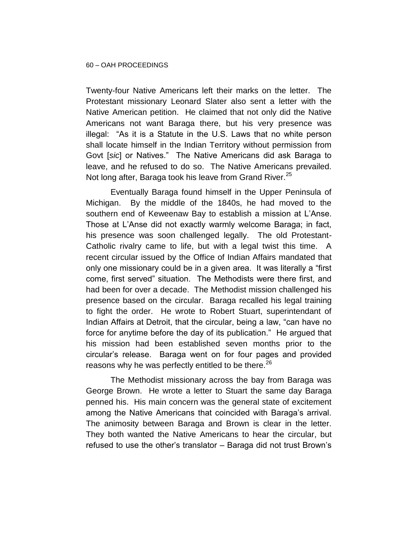Twenty-four Native Americans left their marks on the letter. The Protestant missionary Leonard Slater also sent a letter with the Native American petition. He claimed that not only did the Native Americans not want Baraga there, but his very presence was illegal: "As it is a Statute in the U.S. Laws that no white person shall locate himself in the Indian Territory without permission from Govt [*sic*] or Natives." The Native Americans did ask Baraga to leave, and he refused to do so. The Native Americans prevailed. Not long after, Baraga took his leave from Grand River.<sup>25</sup>

Eventually Baraga found himself in the Upper Peninsula of Michigan. By the middle of the 1840s, he had moved to the southern end of Keweenaw Bay to establish a mission at L'Anse. Those at L'Anse did not exactly warmly welcome Baraga; in fact, his presence was soon challenged legally. The old Protestant-Catholic rivalry came to life, but with a legal twist this time. A recent circular issued by the Office of Indian Affairs mandated that only one missionary could be in a given area. It was literally a "first come, first served" situation. The Methodists were there first, and had been for over a decade. The Methodist mission challenged his presence based on the circular. Baraga recalled his legal training to fight the order. He wrote to Robert Stuart, superintendant of Indian Affairs at Detroit, that the circular, being a law, "can have no force for anytime before the day of its publication." He argued that his mission had been established seven months prior to the circular's release. Baraga went on for four pages and provided reasons why he was perfectly entitled to be there. $26$ 

The Methodist missionary across the bay from Baraga was George Brown. He wrote a letter to Stuart the same day Baraga penned his. His main concern was the general state of excitement among the Native Americans that coincided with Baraga's arrival. The animosity between Baraga and Brown is clear in the letter. They both wanted the Native Americans to hear the circular, but refused to use the other's translator – Baraga did not trust Brown's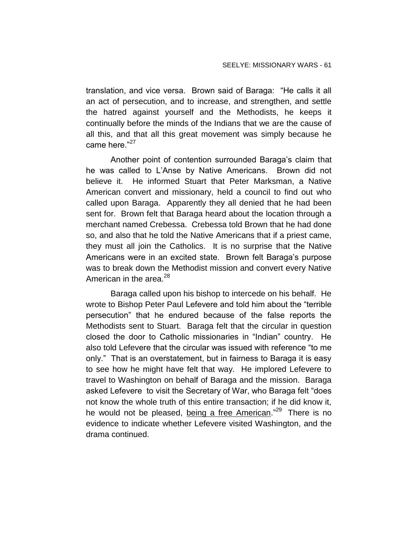translation, and vice versa. Brown said of Baraga: "He calls it all an act of persecution, and to increase, and strengthen, and settle the hatred against yourself and the Methodists, he keeps it continually before the minds of the Indians that we are the cause of all this, and that all this great movement was simply because he came here."<sup>27</sup>

Another point of contention surrounded Baraga's claim that he was called to L'Anse by Native Americans. Brown did not believe it. He informed Stuart that Peter Marksman, a Native American convert and missionary, held a council to find out who called upon Baraga. Apparently they all denied that he had been sent for. Brown felt that Baraga heard about the location through a merchant named Crebessa. Crebessa told Brown that he had done so, and also that he told the Native Americans that if a priest came, they must all join the Catholics. It is no surprise that the Native Americans were in an excited state. Brown felt Baraga's purpose was to break down the Methodist mission and convert every Native American in the area. $^{28}$ 

Baraga called upon his bishop to intercede on his behalf. He wrote to Bishop Peter Paul Lefevere and told him about the "terrible persecution" that he endured because of the false reports the Methodists sent to Stuart. Baraga felt that the circular in question closed the door to Catholic missionaries in "Indian" country. He also told Lefevere that the circular was issued with reference "to me only." That is an overstatement, but in fairness to Baraga it is easy to see how he might have felt that way. He implored Lefevere to travel to Washington on behalf of Baraga and the mission. Baraga asked Lefevere to visit the Secretary of War, who Baraga felt "does not know the whole truth of this entire transaction; if he did know it, he would not be pleased, being a free American."<sup>29</sup> There is no evidence to indicate whether Lefevere visited Washington, and the drama continued.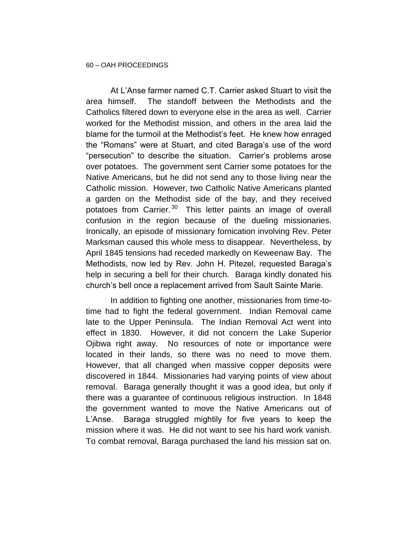At L'Anse farmer named C.T. Carrier asked Stuart to visit the area himself. The standoff between the Methodists and the Catholics filtered down to everyone else in the area as well. Carrier worked for the Methodist mission, and others in the area laid the blame for the turmoil at the Methodist's feet. He knew how enraged the "Romans" were at Stuart, and cited Baraga's use of the word "persecution" to describe the situation. Carrier's problems arose over potatoes. The government sent Carrier some potatoes for the Native Americans, but he did not send any to those living near the Catholic mission. However, two Catholic Native Americans planted a garden on the Methodist side of the bay, and they received potatoes from Carrier.<sup>30</sup> This letter paints an image of overall confusion in the region because of the dueling missionaries. Ironically, an episode of missionary fornication involving Rev. Peter Marksman caused this whole mess to disappear. Nevertheless, by April 1845 tensions had receded markedly on Keweenaw Bay. The Methodists, now led by Rev. John H. Pitezel, requested Baraga's help in securing a bell for their church. Baraga kindly donated his church's bell once a replacement arrived from Sault Sainte Marie.

In addition to fighting one another, missionaries from time-totime had to fight the federal government. Indian Removal came late to the Upper Peninsula. The Indian Removal Act went into effect in 1830. However, it did not concern the Lake Superior Ojibwa right away. No resources of note or importance were located in their lands, so there was no need to move them. However, that all changed when massive copper deposits were discovered in 1844. Missionaries had varying points of view about removal. Baraga generally thought it was a good idea, but only if there was a guarantee of continuous religious instruction. In 1848 the government wanted to move the Native Americans out of L'Anse. Baraga struggled mightily for five years to keep the mission where it was. He did not want to see his hard work vanish. To combat removal, Baraga purchased the land his mission sat on.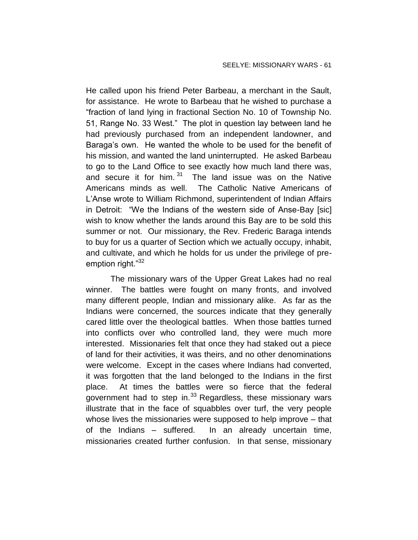He called upon his friend Peter Barbeau, a merchant in the Sault, for assistance. He wrote to Barbeau that he wished to purchase a "fraction of land lying in fractional Section No. 10 of Township No. 51, Range No. 33 West." The plot in question lay between land he had previously purchased from an independent landowner, and Baraga's own. He wanted the whole to be used for the benefit of his mission, and wanted the land uninterrupted. He asked Barbeau to go to the Land Office to see exactly how much land there was, and secure it for him.  $31$  The land issue was on the Native Americans minds as well. The Catholic Native Americans of L'Anse wrote to William Richmond, superintendent of Indian Affairs in Detroit: "We the Indians of the western side of Anse-Bay [sic] wish to know whether the lands around this Bay are to be sold this summer or not. Our missionary, the Rev. Frederic Baraga intends to buy for us a quarter of Section which we actually occupy, inhabit, and cultivate, and which he holds for us under the privilege of preemption right."<sup>32</sup>

The missionary wars of the Upper Great Lakes had no real winner. The battles were fought on many fronts, and involved many different people, Indian and missionary alike. As far as the Indians were concerned, the sources indicate that they generally cared little over the theological battles. When those battles turned into conflicts over who controlled land, they were much more interested. Missionaries felt that once they had staked out a piece of land for their activities, it was theirs, and no other denominations were welcome. Except in the cases where Indians had converted, it was forgotten that the land belonged to the Indians in the first place. At times the battles were so fierce that the federal government had to step in.<sup>33</sup> Regardless, these missionary wars illustrate that in the face of squabbles over turf, the very people whose lives the missionaries were supposed to help improve – that of the Indians – suffered. In an already uncertain time, missionaries created further confusion. In that sense, missionary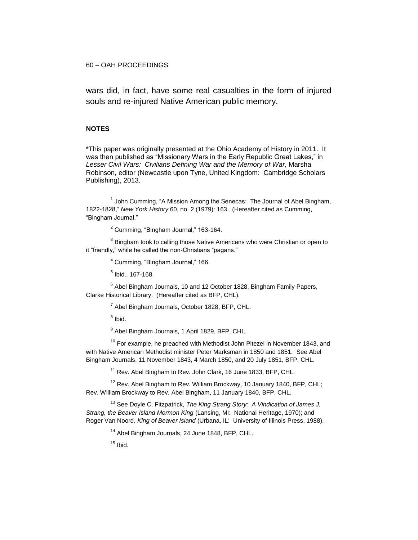60 – OAH PROCEEDINGS

wars did, in fact, have some real casualties in the form of injured souls and re-injured Native American public memory.

### **NOTES**

\*This paper was originally presented at the Ohio Academy of History in 2011. It was then published as "Missionary Wars in the Early Republic Great Lakes," in *Lesser Civil Wars: Civilians Defining War and the Memory of War*, Marsha Robinson, editor (Newcastle upon Tyne, United Kingdom: Cambridge Scholars Publishing), 2013.

 $1$  John Cumming, "A Mission Among the Senecas: The Journal of Abel Bingham, 1822-1828," *New York History* 60, no. 2 (1979): 163. (Hereafter cited as Cumming, "Bingham Journal."

 $2$  Cumming, "Bingham Journal," 163-164.

 $3$  Bingham took to calling those Native Americans who were Christian or open to it "friendly," while he called the non-Christians "pagans."

<sup>4</sup> Cumming, "Bingham Journal," 166.

<sup>5</sup> Ibid., 167-168.

 $^6$  Abel Bingham Journals, 10 and 12 October 1828, Bingham Family Papers, Clarke Historical Library. (Hereafter cited as BFP, CHL).

<sup>7</sup> Abel Bingham Journals, October 1828, BFP, CHL.

<sup>8</sup> Ibid.

<sup>9</sup> Abel Bingham Journals, 1 April 1829, BFP, CHL.

 $10$  For example, he preached with Methodist John Pitezel in November 1843, and with Native American Methodist minister Peter Marksman in 1850 and 1851. See Abel Bingham Journals, 11 November 1843, 4 March 1850, and 20 July 1851, BFP, CHL.

<sup>11</sup> Rev. Abel Bingham to Rev. John Clark, 16 June 1833, BFP, CHL.

 $12$  Rev. Abel Bingham to Rev. William Brockway, 10 January 1840, BFP, CHL; Rev. William Brockway to Rev. Abel Bingham, 11 January 1840, BFP, CHL.

<sup>13</sup> See Doyle C. Fitzpatrick, *The King Strang Story: A Vindication of James J. Strang, the Beaver Island Mormon King* (Lansing, MI: National Heritage, 1970); and Roger Van Noord, *King of Beaver Island* (Urbana, IL: University of Illinois Press, 1988).

<sup>14</sup> Abel Bingham Journals, 24 June 1848, BFP, CHL.

 $15$  Ibid.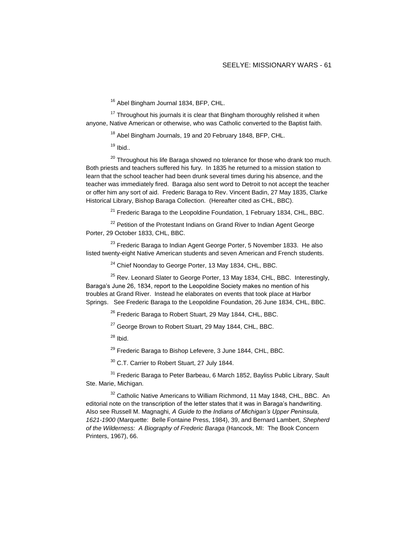<sup>16</sup> Abel Bingham Journal 1834, BFP, CHL.

 $17$  Throughout his journals it is clear that Bingham thoroughly relished it when anyone, Native American or otherwise, who was Catholic converted to the Baptist faith.

<sup>18</sup> Abel Bingham Journals, 19 and 20 February 1848, BFP, CHL.

 $19$  Ibid..

 $20$  Throughout his life Baraga showed no tolerance for those who drank too much. Both priests and teachers suffered his fury. In 1835 he returned to a mission station to learn that the school teacher had been drunk several times during his absence, and the teacher was immediately fired. Baraga also sent word to Detroit to not accept the teacher or offer him any sort of aid. Frederic Baraga to Rev. Vincent Badin, 27 May 1835, Clarke Historical Library, Bishop Baraga Collection. (Hereafter cited as CHL, BBC).

 $21$  Frederic Baraga to the Leopoldine Foundation, 1 February 1834, CHL, BBC.

<sup>22</sup> Petition of the Protestant Indians on Grand River to Indian Agent George Porter, 29 October 1833, CHL, BBC.

<sup>23</sup> Frederic Baraga to Indian Agent George Porter, 5 November 1833. He also listed twenty-eight Native American students and seven American and French students.

<sup>24</sup> Chief Noonday to George Porter, 13 May 1834, CHL, BBC.

 $25$  Rev. Leonard Slater to George Porter, 13 May 1834, CHL, BBC. Interestingly, Baraga's June 26, 1834, report to the Leopoldine Society makes no mention of his troubles at Grand River. Instead he elaborates on events that took place at Harbor Springs. See Frederic Baraga to the Leopoldine Foundation, 26 June 1834, CHL, BBC.

<sup>26</sup> Frederic Baraga to Robert Stuart, 29 May 1844, CHL, BBC.

<sup>27</sup> George Brown to Robert Stuart, 29 May 1844, CHL, BBC.

 $28$  Ibid.

<sup>29</sup> Frederic Baraga to Bishop Lefevere, 3 June 1844, CHL, BBC.

<sup>30</sup> C.T. Carrier to Robert Stuart, 27 July 1844.

<sup>31</sup> Frederic Baraga to Peter Barbeau, 6 March 1852, Bayliss Public Library, Sault Ste. Marie, Michigan.

<sup>32</sup> Catholic Native Americans to William Richmond, 11 May 1848, CHL, BBC. An editorial note on the transcription of the letter states that it was in Baraga's handwriting. Also see Russell M. Magnaghi, *A Guide to the Indians of Michigan's Upper Peninsula, 1621-1900* (Marquette: Belle Fontaine Press, 1984), 39, and Bernard Lambert, *Shepherd of the Wilderness: A Biography of Frederic Baraga* (Hancock, MI: The Book Concern Printers, 1967), 66.